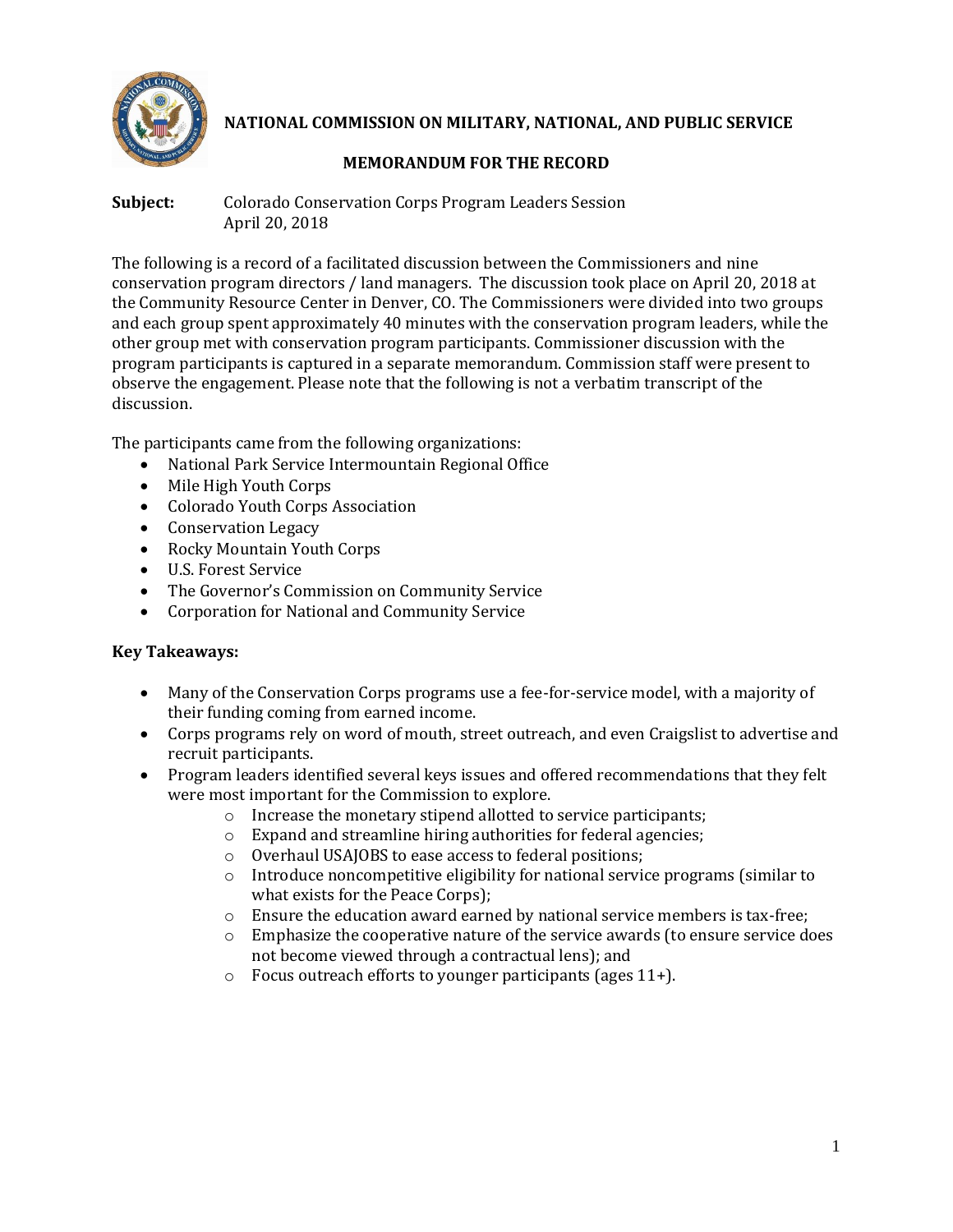

**NATIONAL COMMISSION ON MILITARY, NATIONAL, AND PUBLIC SERVICE**

# **MEMORANDUM FOR THE RECORD**

**Subject:** Colorado Conservation Corps Program Leaders Session April 20, 2018

The following is a record of a facilitated discussion between the Commissioners and nine conservation program directors / land managers. The discussion took place on April 20, 2018 at the Community Resource Center in Denver, CO. The Commissioners were divided into two groups and each group spent approximately 40 minutes with the conservation program leaders, while the other group met with conservation program participants. Commissioner discussion with the program participants is captured in a separate memorandum. Commission staff were present to observe the engagement. Please note that the following is not a verbatim transcript of the discussion.

The participants came from the following organizations:

- National Park Service Intermountain Regional Office
- Mile High Youth Corps
- Colorado Youth Corps Association
- Conservation Legacy
- Rocky Mountain Youth Corps
- U.S. Forest Service
- The Governor's Commission on Community Service
- Corporation for National and Community Service

# **Key Takeaways:**

- Many of the Conservation Corps programs use a fee-for-service model, with a majority of their funding coming from earned income.
- Corps programs rely on word of mouth, street outreach, and even Craigslist to advertise and recruit participants.
- Program leaders identified several keys issues and offered recommendations that they felt were most important for the Commission to explore.
	- o Increase the monetary stipend allotted to service participants;
	- o Expand and streamline hiring authorities for federal agencies;
	- o Overhaul USAJOBS to ease access to federal positions;
	- $\circ$  Introduce noncompetitive eligibility for national service programs (similar to what exists for the Peace Corps);
	- $\circ$  Ensure the education award earned by national service members is tax-free;
	- $\circ$  Emphasize the cooperative nature of the service awards (to ensure service does not become viewed through a contractual lens); and
	- o Focus outreach efforts to younger participants (ages 11+).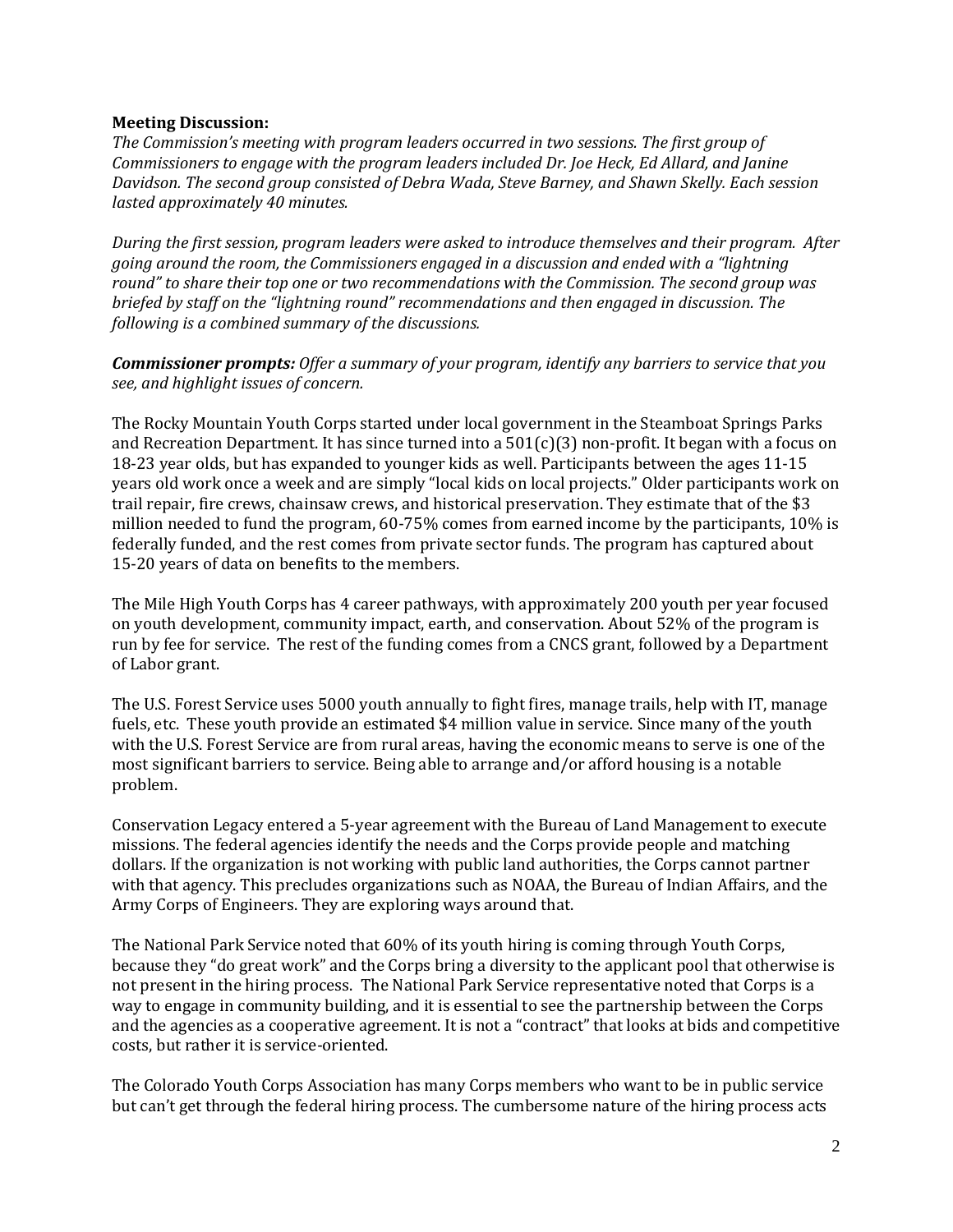#### **Meeting Discussion:**

*The Commission's meeting with program leaders occurred in two sessions. The first group of Commissioners to engage with the program leaders included Dr. Joe Heck, Ed Allard, and Janine Davidson. The second group consisted of Debra Wada, Steve Barney, and Shawn Skelly. Each session lasted approximately 40 minutes.*

*During the first session, program leaders were asked to introduce themselves and their program. After going around the room, the Commissioners engaged in a discussion and ended with a "lightning round" to share their top one or two recommendations with the Commission. The second group was briefed by staff on the "lightning round" recommendations and then engaged in discussion. The following is a combined summary of the discussions.* 

*Commissioner prompts: Offer a summary of your program, identify any barriers to service that you see, and highlight issues of concern.* 

The Rocky Mountain Youth Corps started under local government in the Steamboat Springs Parks and Recreation Department. It has since turned into a  $501(c)(3)$  non-profit. It began with a focus on 18-23 year olds, but has expanded to younger kids as well. Participants between the ages 11-15 years old work once a week and are simply "local kids on local projects." Older participants work on trail repair, fire crews, chainsaw crews, and historical preservation. They estimate that of the \$3 million needed to fund the program, 60-75% comes from earned income by the participants, 10% is federally funded, and the rest comes from private sector funds. The program has captured about 15-20 years of data on benefits to the members.

The Mile High Youth Corps has 4 career pathways, with approximately 200 youth per year focused on youth development, community impact, earth, and conservation. About 52% of the program is run by fee for service. The rest of the funding comes from a CNCS grant, followed by a Department of Labor grant.

The U.S. Forest Service uses 5000 youth annually to fight fires, manage trails, help with IT, manage fuels, etc. These youth provide an estimated \$4 million value in service. Since many of the youth with the U.S. Forest Service are from rural areas, having the economic means to serve is one of the most significant barriers to service. Being able to arrange and/or afford housing is a notable problem.

Conservation Legacy entered a 5-year agreement with the Bureau of Land Management to execute missions. The federal agencies identify the needs and the Corps provide people and matching dollars. If the organization is not working with public land authorities, the Corps cannot partner with that agency. This precludes organizations such as NOAA, the Bureau of Indian Affairs, and the Army Corps of Engineers. They are exploring ways around that.

The National Park Service noted that 60% of its youth hiring is coming through Youth Corps, because they "do great work" and the Corps bring a diversity to the applicant pool that otherwise is not present in the hiring process. The National Park Service representative noted that Corps is a way to engage in community building, and it is essential to see the partnership between the Corps and the agencies as a cooperative agreement. It is not a "contract" that looks at bids and competitive costs, but rather it is service-oriented.

The Colorado Youth Corps Association has many Corps members who want to be in public service but can't get through the federal hiring process. The cumbersome nature of the hiring process acts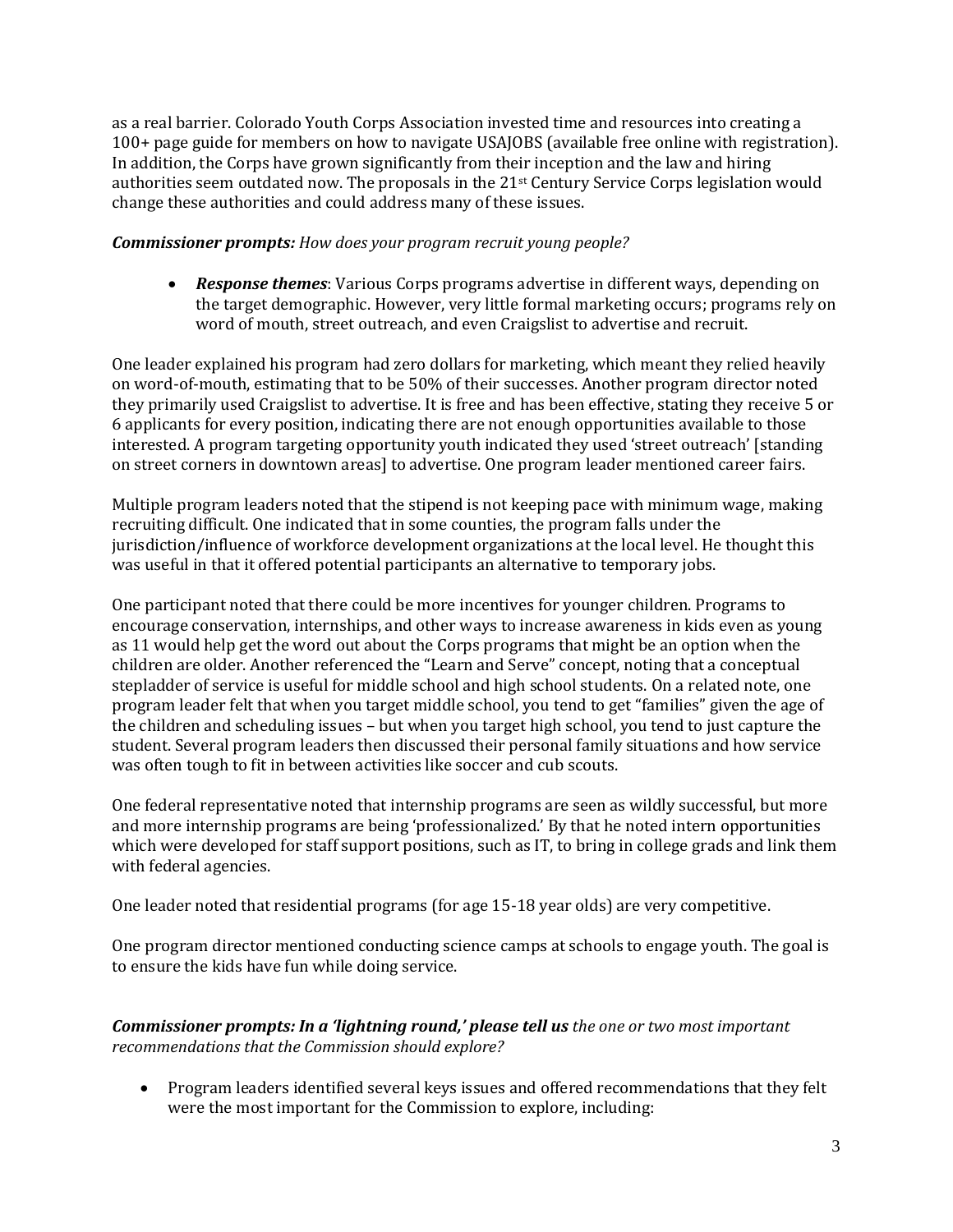as a real barrier. Colorado Youth Corps Association invested time and resources into creating a 100+ page guide for members on how to navigate USAJOBS (available free online with registration). In addition, the Corps have grown significantly from their inception and the law and hiring authorities seem outdated now. The proposals in the 21st Century Service Corps legislation would change these authorities and could address many of these issues.

### *Commissioner prompts: How does your program recruit young people?*

• *Response themes*: Various Corps programs advertise in different ways, depending on the target demographic. However, very little formal marketing occurs; programs rely on word of mouth, street outreach, and even Craigslist to advertise and recruit.

One leader explained his program had zero dollars for marketing, which meant they relied heavily on word-of-mouth, estimating that to be 50% of their successes. Another program director noted they primarily used Craigslist to advertise. It is free and has been effective, stating they receive 5 or 6 applicants for every position, indicating there are not enough opportunities available to those interested. A program targeting opportunity youth indicated they used 'street outreach' [standing on street corners in downtown areas] to advertise. One program leader mentioned career fairs.

Multiple program leaders noted that the stipend is not keeping pace with minimum wage, making recruiting difficult. One indicated that in some counties, the program falls under the jurisdiction/influence of workforce development organizations at the local level. He thought this was useful in that it offered potential participants an alternative to temporary jobs.

One participant noted that there could be more incentives for younger children. Programs to encourage conservation, internships, and other ways to increase awareness in kids even as young as 11 would help get the word out about the Corps programs that might be an option when the children are older. Another referenced the "Learn and Serve" concept, noting that a conceptual stepladder of service is useful for middle school and high school students. On a related note, one program leader felt that when you target middle school, you tend to get "families" given the age of the children and scheduling issues – but when you target high school, you tend to just capture the student. Several program leaders then discussed their personal family situations and how service was often tough to fit in between activities like soccer and cub scouts.

One federal representative noted that internship programs are seen as wildly successful, but more and more internship programs are being 'professionalized.' By that he noted intern opportunities which were developed for staff support positions, such as IT, to bring in college grads and link them with federal agencies.

One leader noted that residential programs (for age 15-18 year olds) are very competitive.

One program director mentioned conducting science camps at schools to engage youth. The goal is to ensure the kids have fun while doing service.

# *Commissioner prompts: In a 'lightning round,' please tell us the one or two most important recommendations that the Commission should explore?*

• Program leaders identified several keys issues and offered recommendations that they felt were the most important for the Commission to explore, including: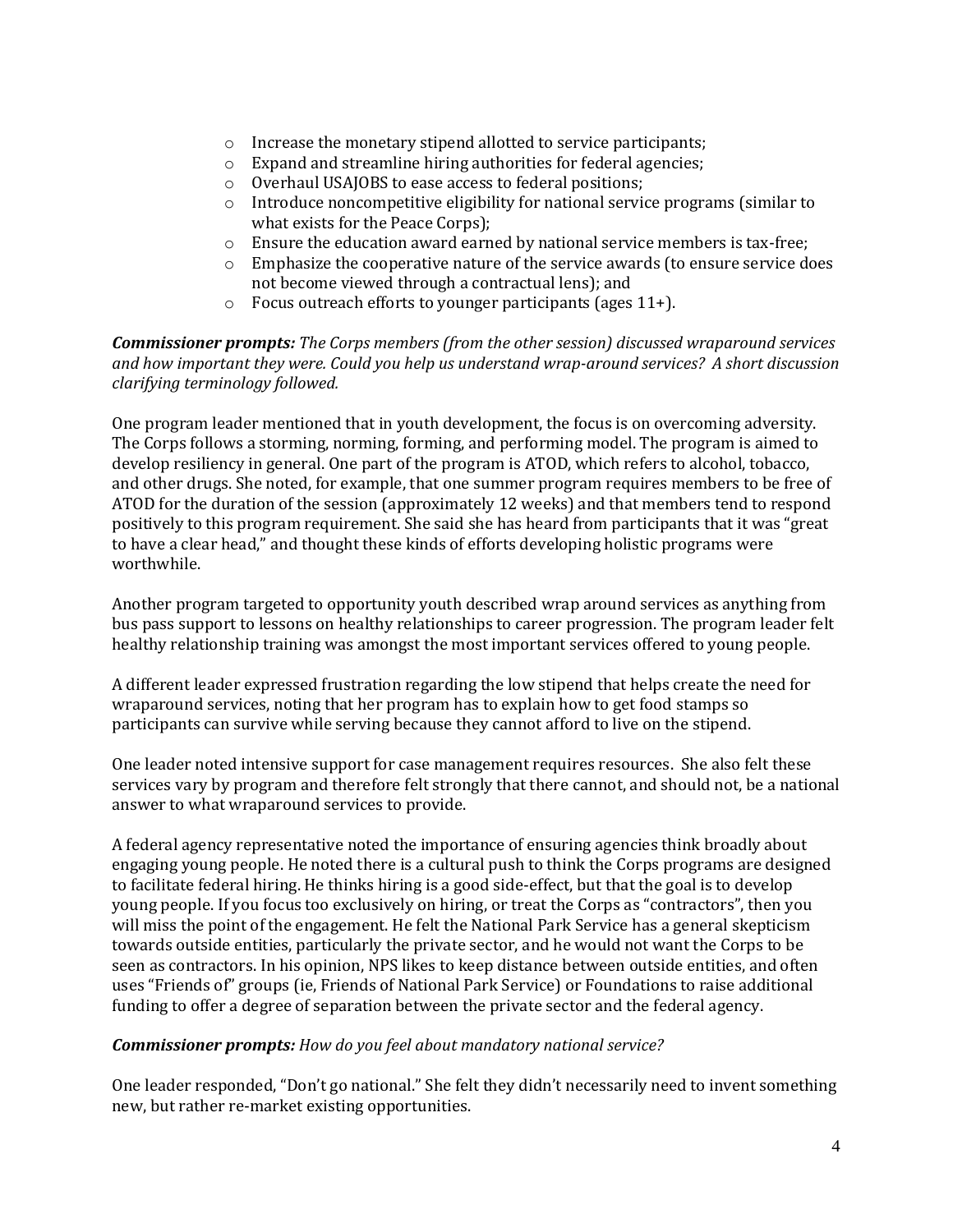- o Increase the monetary stipend allotted to service participants;
- o Expand and streamline hiring authorities for federal agencies;
- o Overhaul USAJOBS to ease access to federal positions;
- o Introduce noncompetitive eligibility for national service programs (similar to what exists for the Peace Corps);
- $\circ$  Ensure the education award earned by national service members is tax-free;
- o Emphasize the cooperative nature of the service awards (to ensure service does not become viewed through a contractual lens); and
- o Focus outreach efforts to younger participants (ages 11+).

*Commissioner prompts: The Corps members (from the other session) discussed wraparound services and how important they were. Could you help us understand wrap-around services? A short discussion clarifying terminology followed.* 

One program leader mentioned that in youth development, the focus is on overcoming adversity. The Corps follows a storming, norming, forming, and performing model. The program is aimed to develop resiliency in general. One part of the program is ATOD, which refers to alcohol, tobacco, and other drugs. She noted, for example, that one summer program requires members to be free of ATOD for the duration of the session (approximately 12 weeks) and that members tend to respond positively to this program requirement. She said she has heard from participants that it was "great to have a clear head," and thought these kinds of efforts developing holistic programs were worthwhile.

Another program targeted to opportunity youth described wrap around services as anything from bus pass support to lessons on healthy relationships to career progression. The program leader felt healthy relationship training was amongst the most important services offered to young people.

A different leader expressed frustration regarding the low stipend that helps create the need for wraparound services, noting that her program has to explain how to get food stamps so participants can survive while serving because they cannot afford to live on the stipend.

One leader noted intensive support for case management requires resources. She also felt these services vary by program and therefore felt strongly that there cannot, and should not, be a national answer to what wraparound services to provide.

A federal agency representative noted the importance of ensuring agencies think broadly about engaging young people. He noted there is a cultural push to think the Corps programs are designed to facilitate federal hiring. He thinks hiring is a good side-effect, but that the goal is to develop young people. If you focus too exclusively on hiring, or treat the Corps as "contractors", then you will miss the point of the engagement. He felt the National Park Service has a general skepticism towards outside entities, particularly the private sector, and he would not want the Corps to be seen as contractors. In his opinion, NPS likes to keep distance between outside entities, and often uses "Friends of" groups (ie, Friends of National Park Service) or Foundations to raise additional funding to offer a degree of separation between the private sector and the federal agency.

# *Commissioner prompts: How do you feel about mandatory national service?*

One leader responded, "Don't go national." She felt they didn't necessarily need to invent something new, but rather re-market existing opportunities.